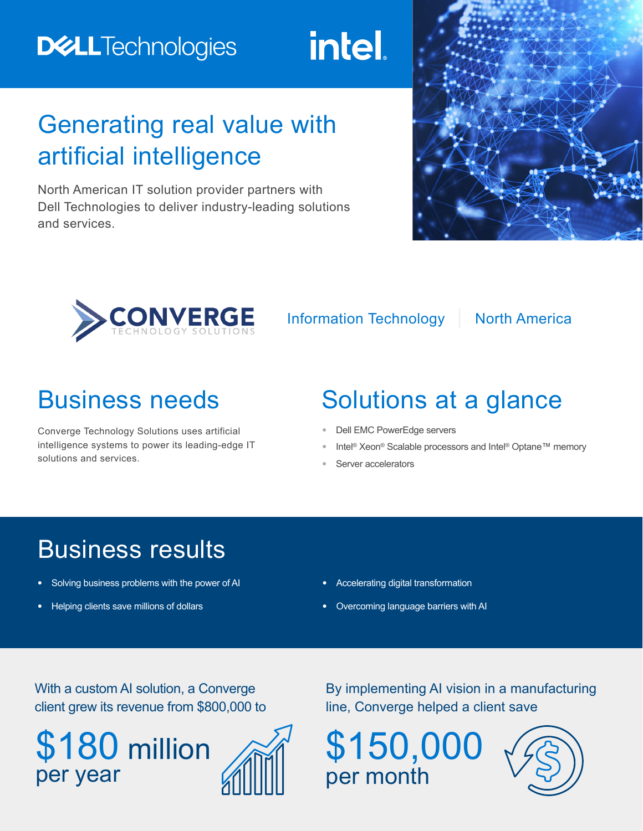# **DELLTechnologies**

# Generating real value with artificial intelligence

North American IT solution provider partners with Dell Technologies to deliver industry-leading solutions and services.





Information Technology | North America

**intel** 

Converge Technology Solutions uses artificial intelligence systems to power its leading-edge IT solutions and services.

# Business needs Solutions at a glance

- **•** Dell EMC PowerEdge servers
- **•** Intel® Xeon® Scalable processors and Intel® Optane™ memory
- **•** Server accelerators

## Business results

- **•** Solving business problems with the power of AI
- **•** Helping clients save millions of dollars
- **•** Accelerating digital transformation
- **•** Overcoming language barriers with AI

With a custom AI solution, a Converge client grew its revenue from \$800,000 to



By implementing AI vision in a manufacturing line, Converge helped a client save



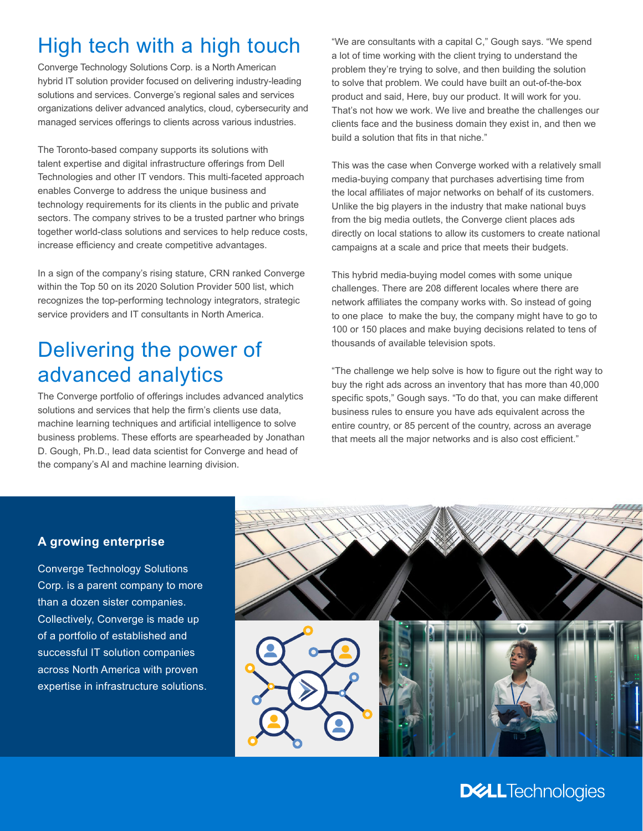#### High tech with a high touch

Converge Technology Solutions Corp. is a North American hybrid IT solution provider focused on delivering industry-leading solutions and services. Converge's regional sales and services organizations deliver advanced analytics, cloud, cybersecurity and managed services offerings to clients across various industries.

The Toronto-based company supports its solutions with talent expertise and digital infrastructure offerings from Dell Technologies and other IT vendors. This multi-faceted approach enables Converge to address the unique business and technology requirements for its clients in the public and private sectors. The company strives to be a trusted partner who brings together world-class solutions and services to help reduce costs, increase efficiency and create competitive advantages.

In a sign of the company's rising stature, CRN ranked Converge within the Top 50 on its 2020 Solution Provider 500 list, which recognizes the top-performing technology integrators, strategic service providers and IT consultants in North America.

#### Delivering the power of advanced analytics

The Converge portfolio of offerings includes advanced analytics solutions and services that help the firm's clients use data, machine learning techniques and artificial intelligence to solve business problems. These efforts are spearheaded by Jonathan D. Gough, Ph.D., lead data scientist for Converge and head of the company's AI and machine learning division.

"We are consultants with a capital C," Gough says. "We spend a lot of time working with the client trying to understand the problem they're trying to solve, and then building the solution to solve that problem. We could have built an out-of-the-box product and said, Here, buy our product. It will work for you. That's not how we work. We live and breathe the challenges our clients face and the business domain they exist in, and then we build a solution that fits in that niche."

This was the case when Converge worked with a relatively small media-buying company that purchases advertising time from the local affiliates of major networks on behalf of its customers. Unlike the big players in the industry that make national buys from the big media outlets, the Converge client places ads directly on local stations to allow its customers to create national campaigns at a scale and price that meets their budgets.

This hybrid media-buying model comes with some unique challenges. There are 208 different locales where there are network affiliates the company works with. So instead of going to one place to make the buy, the company might have to go to 100 or 150 places and make buying decisions related to tens of thousands of available television spots.

"The challenge we help solve is how to figure out the right way to buy the right ads across an inventory that has more than 40,000 specific spots," Gough says. "To do that, you can make different business rules to ensure you have ads equivalent across the entire country, or 85 percent of the country, across an average that meets all the major networks and is also cost efficient."

#### **A growing enterprise**

Converge Technology Solutions Corp. is a parent company to more than a dozen sister companies. Collectively, Converge is made up of a portfolio of established and successful IT solution companies across North America with proven expertise in infrastructure solutions.

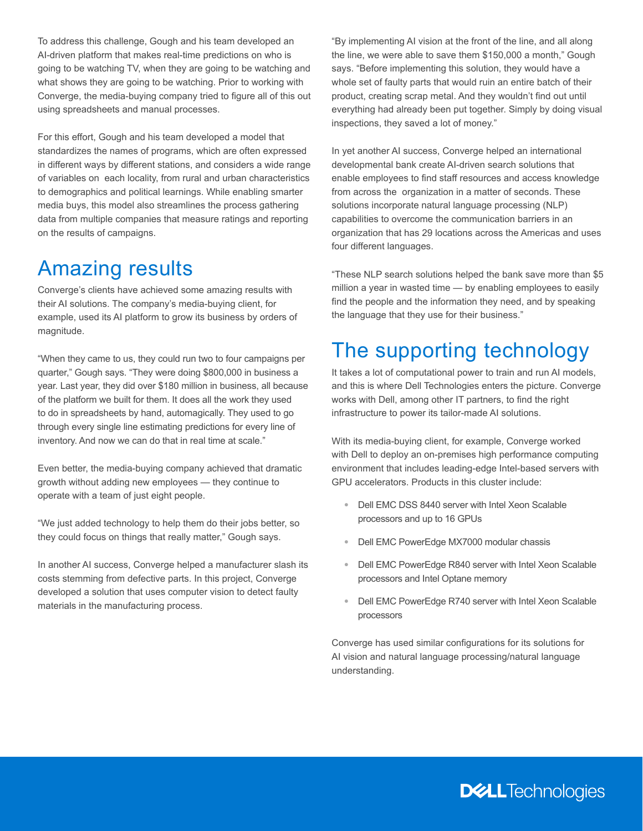To address this challenge, Gough and his team developed an AI-driven platform that makes real-time predictions on who is going to be watching TV, when they are going to be watching and what shows they are going to be watching. Prior to working with Converge, the media-buying company tried to figure all of this out using spreadsheets and manual processes.

For this effort, Gough and his team developed a model that standardizes the names of programs, which are often expressed in different ways by different stations, and considers a wide range of variables on each locality, from rural and urban characteristics to demographics and political learnings. While enabling smarter media buys, this model also streamlines the process gathering data from multiple companies that measure ratings and reporting on the results of campaigns.

#### Amazing results

Converge's clients have achieved some amazing results with their AI solutions. The company's media-buying client, for example, used its AI platform to grow its business by orders of magnitude.

"When they came to us, they could run two to four campaigns per quarter," Gough says. "They were doing \$800,000 in business a year. Last year, they did over \$180 million in business, all because of the platform we built for them. It does all the work they used to do in spreadsheets by hand, automagically. They used to go through every single line estimating predictions for every line of inventory. And now we can do that in real time at scale."

Even better, the media-buying company achieved that dramatic growth without adding new employees — they continue to operate with a team of just eight people.

"We just added technology to help them do their jobs better, so they could focus on things that really matter," Gough says.

In another AI success, Converge helped a manufacturer slash its costs stemming from defective parts. In this project, Converge developed a solution that uses computer vision to detect faulty materials in the manufacturing process.

"By implementing AI vision at the front of the line, and all along the line, we were able to save them \$150,000 a month," Gough says. "Before implementing this solution, they would have a whole set of faulty parts that would ruin an entire batch of their product, creating scrap metal. And they wouldn't find out until everything had already been put together. Simply by doing visual inspections, they saved a lot of money."

In yet another AI success, Converge helped an international developmental bank create AI-driven search solutions that enable employees to find staff resources and access knowledge from across the organization in a matter of seconds. These solutions incorporate natural language processing (NLP) capabilities to overcome the communication barriers in an organization that has 29 locations across the Americas and uses four different languages.

"These NLP search solutions helped the bank save more than \$5 million a year in wasted time — by enabling employees to easily find the people and the information they need, and by speaking the language that they use for their business."

### The supporting technology

It takes a lot of computational power to train and run AI models, and this is where Dell Technologies enters the picture. Converge works with Dell, among other IT partners, to find the right infrastructure to power its tailor-made AI solutions.

With its media-buying client, for example, Converge worked with Dell to deploy an on-premises high performance computing environment that includes leading-edge Intel-based servers with GPU accelerators. Products in this cluster include:

- **•** Dell EMC DSS 8440 server with Intel Xeon Scalable processors and up to 16 GPUs
- **•** Dell EMC PowerEdge MX7000 modular chassis
- **•** Dell EMC PowerEdge R840 server with Intel Xeon Scalable processors and Intel Optane memory
- **•** Dell EMC PowerEdge R740 server with Intel Xeon Scalable processors

Converge has used similar configurations for its solutions for AI vision and natural language processing/natural language understanding.